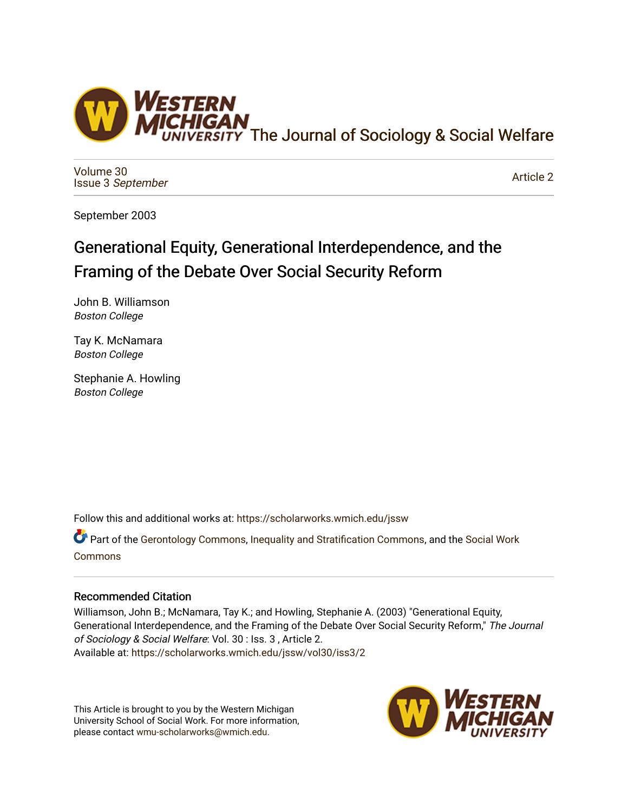

[Volume 30](https://scholarworks.wmich.edu/jssw/vol30) Issue 3 [September](https://scholarworks.wmich.edu/jssw/vol30/iss3)

[Article 2](https://scholarworks.wmich.edu/jssw/vol30/iss3/2) 

September 2003

# Generational Equity, Generational Interdependence, and the Framing of the Debate Over Social Security Reform

John B. Williamson Boston College

Tay K. McNamara Boston College

Stephanie A. Howling Boston College

Follow this and additional works at: [https://scholarworks.wmich.edu/jssw](https://scholarworks.wmich.edu/jssw?utm_source=scholarworks.wmich.edu%2Fjssw%2Fvol30%2Fiss3%2F2&utm_medium=PDF&utm_campaign=PDFCoverPages) 

Part of the [Gerontology Commons,](http://network.bepress.com/hgg/discipline/1276?utm_source=scholarworks.wmich.edu%2Fjssw%2Fvol30%2Fiss3%2F2&utm_medium=PDF&utm_campaign=PDFCoverPages) [Inequality and Stratification Commons](http://network.bepress.com/hgg/discipline/421?utm_source=scholarworks.wmich.edu%2Fjssw%2Fvol30%2Fiss3%2F2&utm_medium=PDF&utm_campaign=PDFCoverPages), and the [Social Work](http://network.bepress.com/hgg/discipline/713?utm_source=scholarworks.wmich.edu%2Fjssw%2Fvol30%2Fiss3%2F2&utm_medium=PDF&utm_campaign=PDFCoverPages)  [Commons](http://network.bepress.com/hgg/discipline/713?utm_source=scholarworks.wmich.edu%2Fjssw%2Fvol30%2Fiss3%2F2&utm_medium=PDF&utm_campaign=PDFCoverPages)

# Recommended Citation

Williamson, John B.; McNamara, Tay K.; and Howling, Stephanie A. (2003) "Generational Equity, Generational Interdependence, and the Framing of the Debate Over Social Security Reform," The Journal of Sociology & Social Welfare: Vol. 30 : Iss. 3 , Article 2. Available at: [https://scholarworks.wmich.edu/jssw/vol30/iss3/2](https://scholarworks.wmich.edu/jssw/vol30/iss3/2?utm_source=scholarworks.wmich.edu%2Fjssw%2Fvol30%2Fiss3%2F2&utm_medium=PDF&utm_campaign=PDFCoverPages)

This Article is brought to you by the Western Michigan University School of Social Work. For more information, please contact [wmu-scholarworks@wmich.edu.](mailto:wmu-scholarworks@wmich.edu)

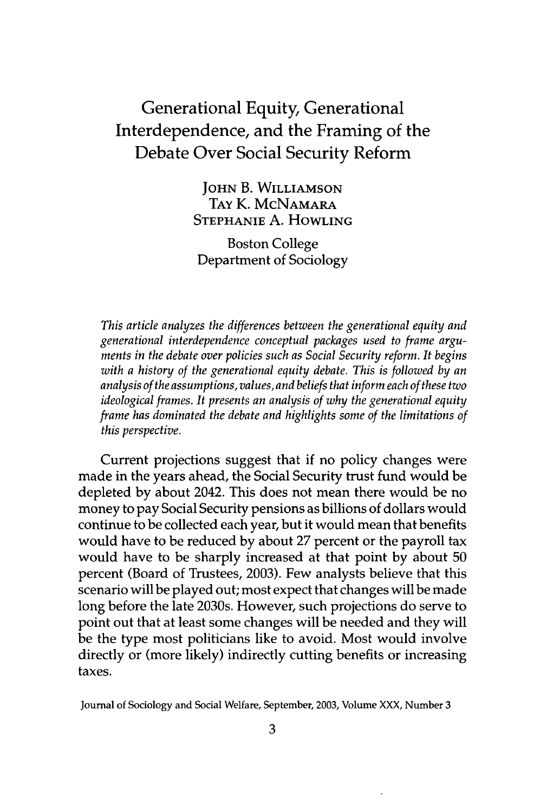# Generational Equity, Generational Interdependence, and the Framing of the Debate Over Social Security Reform

**JOHN** B. WILLIAMSON **TAY** K. MCNAMARA STEPHANIE A. HOWLING

Boston College Department of Sociology

*This article analyzes the differences between the generational equity and generational interdependence conceptual packages used to frame arguments in the debate over policies such as Social Security reform. It begins with a history of the generational equity debate. This is followed by an analysis of the assumptions, values, and beliefs that inform each of these two ideological frames. It presents an analysis of why the generational equity frame has dominated the debate and highlights some of the limitations of this perspective.*

Current projections suggest that if no policy changes were made in the years ahead, the Social Security trust fund would be depleted by about 2042. This does not mean there would be no money to pay Social Security pensions as billions of dollars would continue to be collected each year, but it would mean that benefits would have to be reduced by about 27 percent or the payroll tax would have to be sharply increased at that point by about 50 percent (Board of Trustees, 2003). Few analysts believe that this scenario will be played out; most expect that changes will be made long before the late 2030s. However, such projections do serve to point out that at least some changes will be needed and they will be the type most politicians like to avoid. Most would involve directly or (more likely) indirectly cutting benefits or increasing taxes.

Journal of Sociology and Social Welfare, September, **2003,** Volume **XXX,** Number 3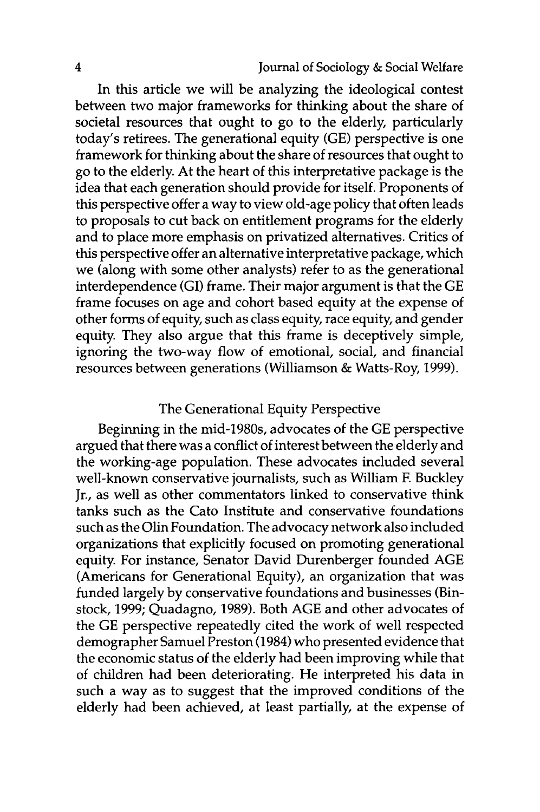In this article we will be analyzing the ideological contest between two major frameworks for thinking about the share of societal resources that ought to go to the elderly, particularly today's retirees. The generational equity (GE) perspective is one framework for thinking about the share of resources that ought to go to the elderly. At the heart of this interpretative package is the idea that each generation should provide for itself. Proponents of this perspective offer a way to view old-age policy that often leads to proposals to cut back on entitlement programs for the elderly and to place more emphasis on privatized alternatives. Critics of this perspective offer an alternative interpretative package, which we (along with some other analysts) refer to as the generational interdependence (GI) frame. Their major argument is that the GE frame focuses on age and cohort based equity at the expense of other forms of equity, such as class equity, race equity, and gender equity. They also argue that this frame is deceptively simple, ignoring the two-way flow of emotional, social, and financial resources between generations (Williamson & Watts-Roy, 1999).

## The Generational Equity Perspective

Beginning in the mid-1980s, advocates of the GE perspective argued that there was a conflict of interest between the elderly and the working-age population. These advocates included several well-known conservative journalists, such as William F. Buckley Jr., as well as other commentators linked to conservative think tanks such as the Cato Institute and conservative foundations such as the Olin Foundation. The advocacy network also included organizations that explicitly focused on promoting generational equity. For instance, Senator David Durenberger founded AGE (Americans for Generational Equity), an organization that was funded largely by conservative foundations and businesses (Binstock, 1999; Quadagno, 1989). Both AGE and other advocates of the GE perspective repeatedly cited the work of well respected demographer Samuel Preston (1984) who presented evidence that the economic status of the elderly had been improving while that of children had been deteriorating. He interpreted his data in such a way as to suggest that the improved conditions of the elderly had been achieved, at least partially, at the expense of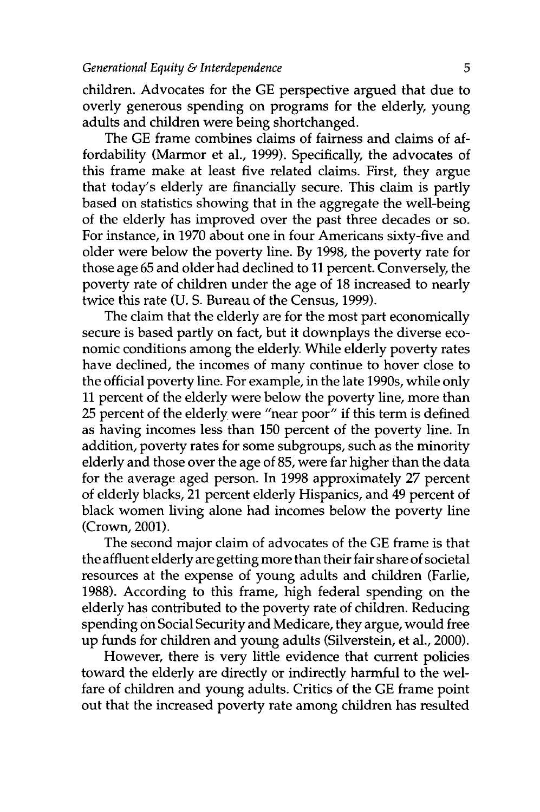children. Advocates for the GE perspective argued that due to overly generous spending on programs for the elderly, young adults and children were being shortchanged.

The GE frame combines claims of fairness and claims of affordability (Marmor et al., 1999). Specifically, the advocates of this frame make at least five related claims. First, they argue that today's elderly are financially secure. This claim is partly based on statistics showing that in the aggregate the well-being of the elderly has improved over the past three decades or so. For instance, in 1970 about one in four Americans sixty-five and older were below the poverty line. By 1998, the poverty rate for those age 65 and older had declined to 11 percent. Conversely, the poverty rate of children under the age of 18 increased to nearly twice this rate (U. S. Bureau of the Census, 1999).

The claim that the elderly are for the most part economically secure is based partly on fact, but it downplays the diverse economic conditions among the elderly While elderly poverty rates have declined, the incomes of many continue to hover close to the official poverty line. For example, in the late 1990s, while only 11 percent of the elderly were below the poverty line, more than 25 percent of the elderly were "near poor" if this term is defined as having incomes less than 150 percent of the poverty line. In addition, poverty rates for some subgroups, such as the minority elderly and those over the age of 85, were far higher than the data for the average aged person. In 1998 approximately 27 percent of elderly blacks, 21 percent elderly Hispanics, and 49 percent of black women living alone had incomes below the poverty line (Crown, 2001).

The second major claim of advocates of the GE frame is that the affluent elderly are getting more than their fair share of societal resources at the expense of young adults and children (Farlie, 1988). According to this frame, high federal spending on the elderly has contributed to the poverty rate of children. Reducing spending on Social Security and Medicare, they argue, would free up funds for children and young adults (Silverstein, et al., 2000).

However, there is very little evidence that current policies toward the elderly are directly or indirectly harmful to the welfare of children and young adults. Critics of the GE frame point out that the increased poverty rate among children has resulted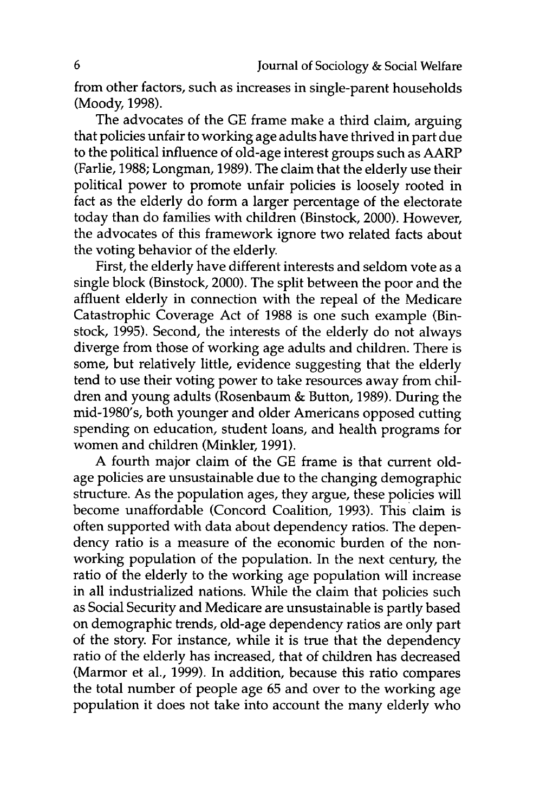from other factors, such as increases in single-parent households (Moody, 1998).

The advocates of the GE frame make a third claim, arguing that policies unfair to working age adults have thrived in part due to the political influence of old-age interest groups such as AARP (Farlie, 1988; Longman, 1989). The claim that the elderly use their political power to promote unfair policies is loosely rooted in fact as the elderly do form a larger percentage of the electorate today than do families with children (Binstock, 2000). However, the advocates of this framework ignore two related facts about the voting behavior of the elderly.

First, the elderly have different interests and seldom vote as a single block (Binstock, 2000). The split between the poor and the affluent elderly in connection with the repeal of the Medicare Catastrophic Coverage Act of 1988 is one such example (Binstock, 1995). Second, the interests of the elderly do not always diverge from those of working age adults and children. There is some, but relatively little, evidence suggesting that the elderly tend to use their voting power to take resources away from children and young adults (Rosenbaum & Button, 1989). During the mid-1980's, both younger and older Americans opposed cutting spending on education, student loans, and health programs for women and children (Minkler, 1991).

A fourth major claim of the GE frame is that current oldage policies are unsustainable due to the changing demographic structure. As the population ages, they argue, these policies will become unaffordable (Concord Coalition, 1993). This claim is often supported with data about dependency ratios. The dependency ratio is a measure of the economic burden of the nonworking population of the population. In the next century, the ratio of the elderly to the working age population will increase in all industrialized nations. While the claim that policies such as Social Security and Medicare are unsustainable is partly based on demographic trends, old-age dependency ratios are only part of the story. For instance, while it is true that the dependency ratio of the elderly has increased, that of children has decreased (Marmor et al., 1999). In addition, because this ratio compares the total number of people age 65 and over to the working age population it does not take into account the many elderly who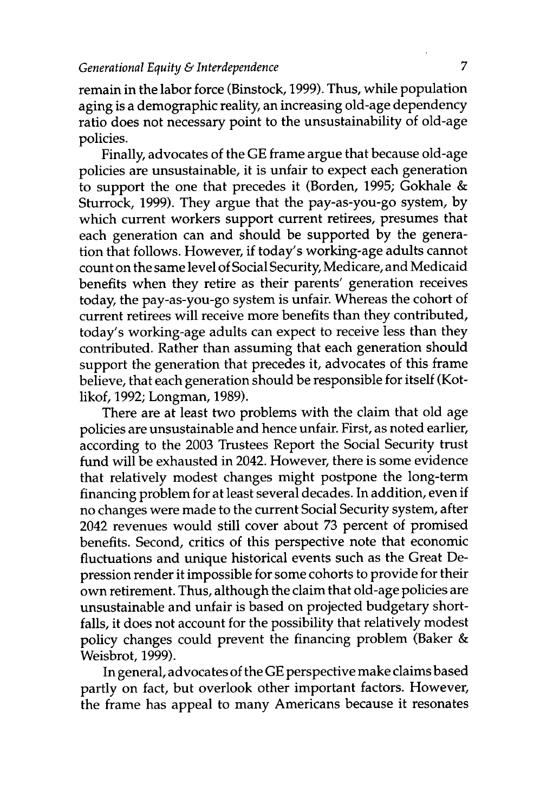remain in the labor force (Binstock, 1999). Thus, while population aging is a demographic reality, an increasing old-age dependency ratio does not necessary point to the unsustainability of old-age policies.

Finally, advocates of the GE frame argue that because old-age policies are unsustainable, it is unfair to expect each generation to support the one that precedes it (Borden, 1995; Gokhale & Sturrock, 1999). They argue that the pay-as-you-go system, by which current workers support current retirees, presumes that each generation can and should be supported by the generation that follows. However, if today's working-age adults cannot count on the same level of Social Security, Medicare, and Medicaid benefits when they retire as their parents' generation receives today, the pay-as-you-go system is unfair. Whereas the cohort of current retirees will receive more benefits than they contributed, today's working-age adults can expect to receive less than they contributed. Rather than assuming that each generation should support the generation that precedes it, advocates of this frame believe, that each generation should be responsible for itself (Kotlikof, 1992; Longman, 1989).

There are at least two problems with the claim that old age policies are unsustainable and hence unfair. First, as noted earlier, according to the 2003 Trustees Report the Social Security trust fund will be exhausted in 2042. However, there is some evidence that relatively modest changes might postpone the long-term financing problem for at least several decades. In addition, even if no changes were made to the current Social Security system, after 2042 revenues would still cover about 73 percent of promised benefits. Second, critics of this perspective note that economic fluctuations and unique historical events such as the Great Depression render it impossible for some cohorts to provide for their own retirement. Thus, although the claim that old-age policies are unsustainable and unfair is based on projected budgetary shortfalls, it does not account for the possibility that relatively modest policy changes could prevent the financing problem (Baker & Weisbrot, 1999).

In general, advocates of the GE perspective make claims based partly on fact, but overlook other important factors. However, the frame has appeal to many Americans because it resonates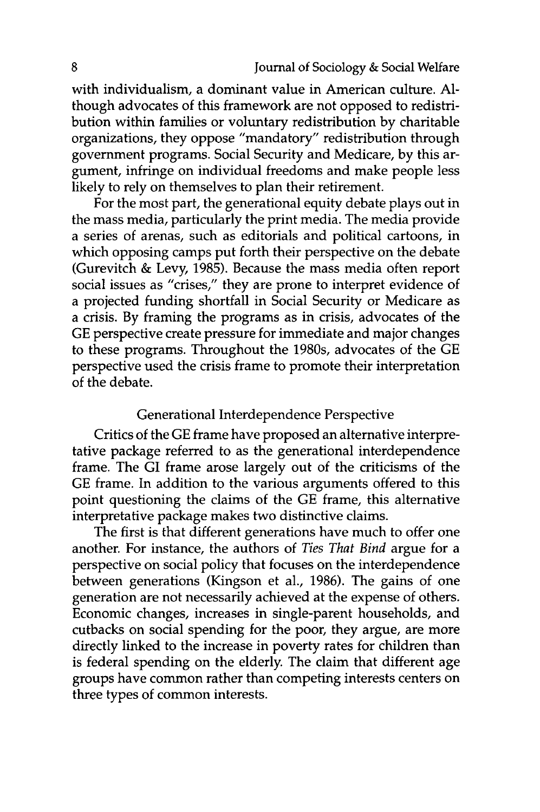with individualism, a dominant value in American culture. **Al**though advocates of this framework are not opposed to redistribution within families or voluntary redistribution by charitable organizations, they oppose "mandatory" redistribution through government programs. Social Security and Medicare, by this argument, infringe on individual freedoms and make people less likely to rely on themselves to plan their retirement.

For the most part, the generational equity debate plays out in the mass media, particularly the print media. The media provide a series of arenas, such as editorials and political cartoons, in which opposing camps put forth their perspective on the debate (Gurevitch & Levy, 1985). Because the mass media often report social issues as "crises," they are prone to interpret evidence of a projected funding shortfall in Social Security or Medicare as a crisis. By framing the programs as in crisis, advocates of the GE perspective create pressure for immediate and major changes to these programs. Throughout the 1980s, advocates of the GE perspective used the crisis frame to promote their interpretation of the debate.

# Generational Interdependence Perspective

Critics of the GE frame have proposed an alternative interpretative package referred to as the generational interdependence frame. The GI frame arose largely out of the criticisms of the GE frame. In addition to the various arguments offered to this point questioning the claims of the GE frame, this alternative interpretative package makes two distinctive claims.

The first is that different generations have much to offer one another. For instance, the authors of *Ties That Bind* argue for a perspective on social policy that focuses on the interdependence between generations (Kingson et al., 1986). The gains of one generation are not necessarily achieved at the expense of others. Economic changes, increases in single-parent households, and cutbacks on social spending for the poor, they argue, are more directly linked to the increase in poverty rates for children than is federal spending on the elderly. The claim that different age groups have common rather than competing interests centers on three types of common interests.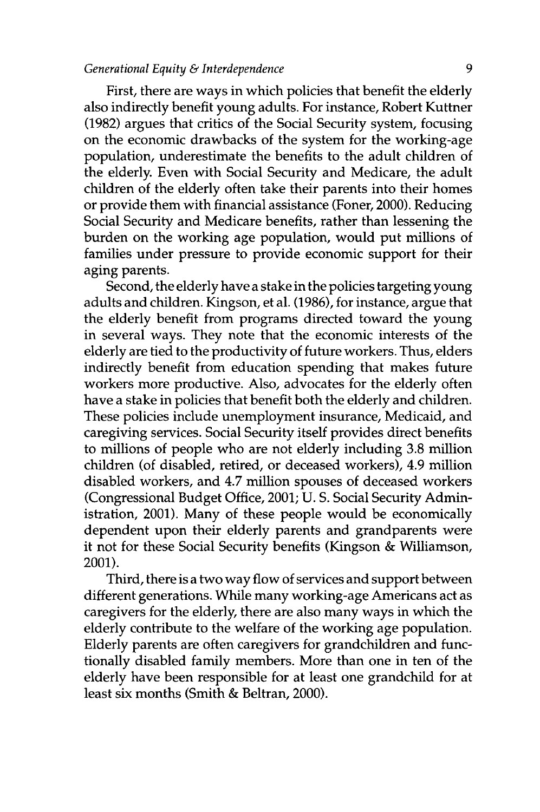#### *Generational Equity & Interdependence* 9

First, there are ways in which policies that benefit the elderly also indirectly benefit young adults. For instance, Robert Kuttner (1982) argues that critics of the Social Security system, focusing on the economic drawbacks of the system for the working-age population, underestimate the benefits to the adult children of the elderly. Even with Social Security and Medicare, the adult children of the elderly often take their parents into their homes or provide them with financial assistance (Foner, 2000). Reducing Social Security and Medicare benefits, rather than lessening the burden on the working age population, would put millions of families under pressure to provide economic support for their aging parents.

Second, the elderly have a stake in the policies targeting young adults and children. Kingson, et al. (1986), for instance, argue that the elderly benefit from programs directed toward the young in several ways. They note that the economic interests of the elderly are tied to the productivity of future workers. Thus, elders indirectly benefit from education spending that makes future workers more productive. Also, advocates for the elderly often have a stake in policies that benefit both the elderly and children. These policies include unemployment insurance, Medicaid, and caregiving services. Social Security itself provides direct benefits to millions of people who are not elderly including 3.8 million children (of disabled, retired, or deceased workers), 4.9 million disabled workers, and 4.7 million spouses of deceased workers (Congressional Budget Office, 2001; U. S. Social Security Administration, 2001). Many of these people would be economically dependent upon their elderly parents and grandparents were it not for these Social Security benefits (Kingson & Williamson, 2001).

Third, there is a two way flow of services and support between different generations. While many working-age Americans act as caregivers for the elderly, there are also many ways in which the elderly contribute to the welfare of the working age population. Elderly parents are often caregivers for grandchildren and functionally disabled family members. More than one in ten of the elderly have been responsible for at least one grandchild for at least six months (Smith & Beltran, 2000).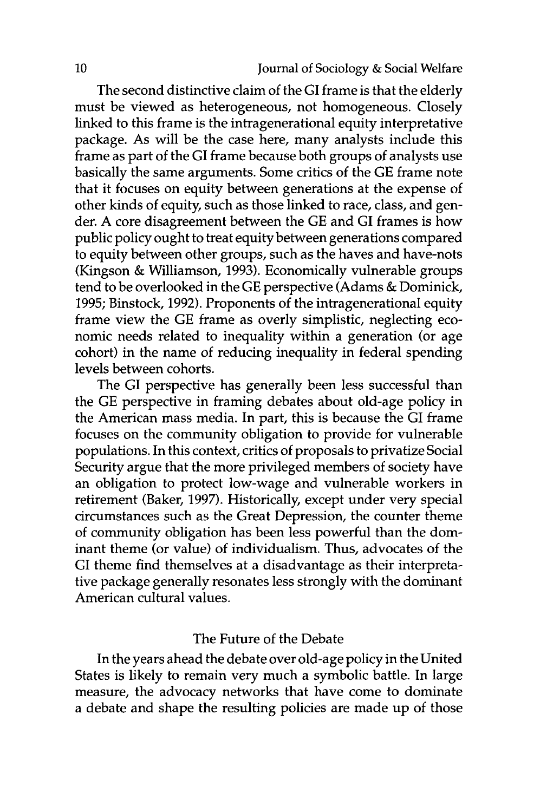The second distinctive claim of the **GI** frame is that the elderly must be viewed as heterogeneous, not homogeneous. Closely linked to this frame is the intragenerational equity interpretative package. As will be the case here, many analysts include this frame as part of the **GI** frame because both groups of analysts use basically the same arguments. Some critics of the **GE** frame note that it focuses on equity between generations at the expense of other kinds of equity, such as those linked to race, class, and gender. **A** core disagreement between the **GE** and **GI** frames is how public policy ought to treat equity between generations compared to equity between other groups, such as the haves and have-nots (Kingson **&** Williamson, **1993).** Economically vulnerable groups tend to be overlooked in the **GE** perspective (Adams **&** Dominick, **1995;** Binstock, **1992).** Proponents of the intragenerational equity frame view the **GE** frame as overly simplistic, neglecting economic needs related to inequality within a generation (or age cohort) in the name of reducing inequality in federal spending levels between cohorts.

The **GI** perspective has generally been less successful than the **GE** perspective in framing debates about old-age policy in the American mass media. In part, this is because the **GI** frame focuses on the community obligation to provide for vulnerable populations. In this context, critics of proposals to privatize Social Security argue that the more privileged members of society have an obligation to protect low-wage and vulnerable workers in retirement (Baker, **1997).** Historically, except under very special circumstances such as the Great Depression, the counter theme of community obligation has been less powerful than the dominant theme (or value) of individualism. Thus, advocates of the **GI** theme find themselves at a disadvantage as their interpretative package generally resonates less strongly with the dominant American cultural values.

#### The Future of the Debate

In the years ahead the debate over old-age policy in the United States is likely to remain very much a symbolic battle. In large measure, the advocacy networks that have come to dominate a debate and shape the resulting policies are made up of those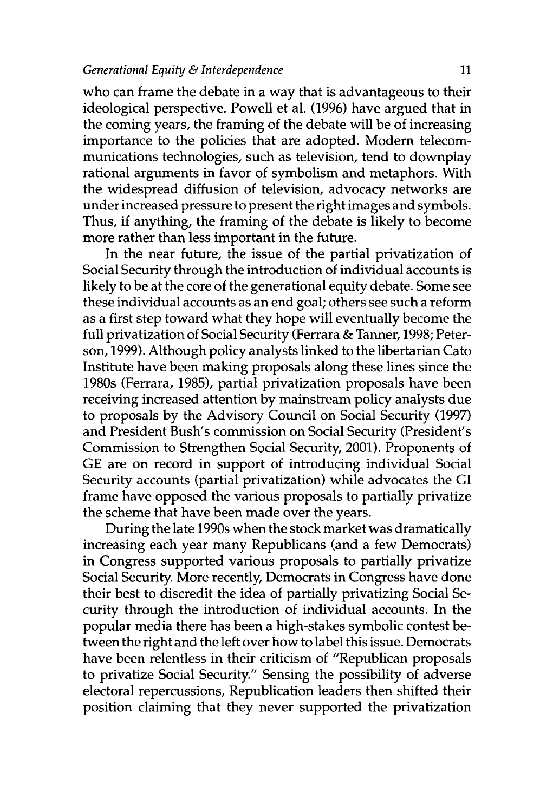who can frame the debate in a way that is advantageous to their ideological perspective. Powell et al. (1996) have argued that in the coming years, the framing of the debate will be of increasing importance to the policies that are adopted. Modem telecommunications technologies, such as television, tend to downplay rational arguments in favor of symbolism and metaphors. With the widespread diffusion of television, advocacy networks are under increased pressure to present the right images and symbols. Thus, if anything, the framing of the debate is likely to become more rather than less important in the future.

In the near future, the issue of the partial privatization of Social Security through the introduction of individual accounts is likely to be at the core of the generational equity debate. Some see these individual accounts as an end goal; others see such a reform as a first step toward what they hope will eventually become the full privatization of Social Security (Ferrara & Tanner, 1998; Peterson, 1999). Although policy analysts linked to the libertarian Cato Institute have been making proposals along these lines since the 1980s (Ferrara, 1985), partial privatization proposals have been receiving increased attention by mainstream policy analysts due to proposals by the Advisory Council on Social Security (1997) and President Bush's commission on Social Security (President's Commission to Strengthen Social Security, 2001). Proponents of GE are on record in support of introducing individual Social Security accounts (partial privatization) while advocates the GI frame have opposed the various proposals to partially privatize the scheme that have been made over the years.

During the late 1990s when the stock market was dramatically increasing each year many Republicans (and a few Democrats) in Congress supported various proposals to partially privatize Social Security. More recently, Democrats in Congress have done their best to discredit the idea of partially privatizing Social Security through the introduction of individual accounts. In the popular media there has been a high-stakes symbolic contest between the right and the left over how to label this issue. Democrats have been relentless in their criticism of "Republican proposals to privatize Social Security." Sensing the possibility of adverse electoral repercussions, Republication leaders then shifted their position claiming that they never supported the privatization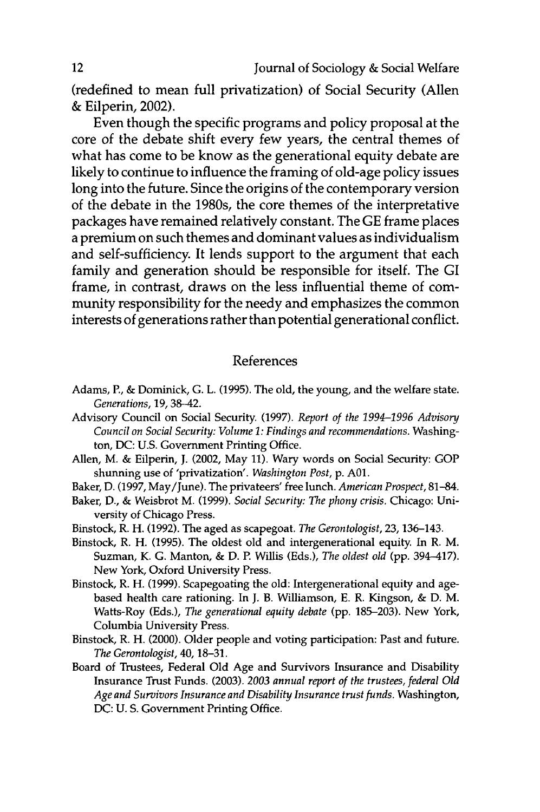(redefined to mean full privatization) of Social Security (Allen **&** Eilperin, 2002).

Even though the specific programs and policy proposal at the core of the debate shift every few years, the central themes of what has come to be know as the generational equity debate are likely to continue to influence the framing of old-age policy issues long into the future. Since the origins of the contemporary version of the debate in the 1980s, the core themes of the interpretative packages have remained relatively constant. The **GE** frame places a premium on such themes and dominant values as individualism and self-sufficiency. It lends support to the argument that each family and generation should be responsible for itself. The GI frame, in contrast, draws on the less influential theme of community responsibility for the needy and emphasizes the common interests of generations rather than potential generational conflict.

### References

- Adams, P., **&** Dominick, **G.** L. **(1995).** The old, the young, and the welfare state. *Generations,* **19, 38-42.**
- Advisory Council on Social Security. **(1997).** *Report of the 1994-1996 Advisory Council on Social Security: Volume 1: Findings and recommendations.* Washington, **DC: U.S.** Government Printing Office.
- Allen, M. **&** Eilperin, **J.** (2002, May **11).** Wary words on Social Security: **GOP** shunning use of 'privatization'. *Washington Post,* **p. A01.**
- Baker, **D. (1997,** May/June). The privateers' free lunch. *American Prospect,* **81-84.**
- Baker, **D., &** Weisbrot M. **(1999).** *Social Security: The phony crisis.* Chicago: University of Chicago Press.
- Binstock, R. H. **(1992).** The aged as scapegoat. *The Gerontologist,* **23,** 136-143.
- Binstock, R. H. **(1995).** The oldest old and intergenerational equity. In R. M. Suzman, K. **G.** Manton, **& D.** P. Willis (Eds.), *The oldest old* **(pp.** 394-417). New York, Oxford University Press.
- Binstock, R. H. **(1999).** Scapegoating the old: Intergenerational equity and agebased health care rationing. In **J.** B. Williamson, **E.** R. Kingson, **& D.** M. Watts-Roy (Eds.), *The generational equity debate* **(pp. 185-203).** New York, Columbia University Press.
- Binstock, R. H. (2000). Older people and voting participation: Past and future. *The Gerontologist,* 40, **18-31.**
- Board of Trustees, Federal **Old** Age and Survivors Insurance and Disability Insurance Trust Funds. **(2003).** *2003 annual report of the trustees, federal Old Age and Survivors Insurance and Disability Insurance trust funds.* Washington, **DC: U. S.** Government Printing Office.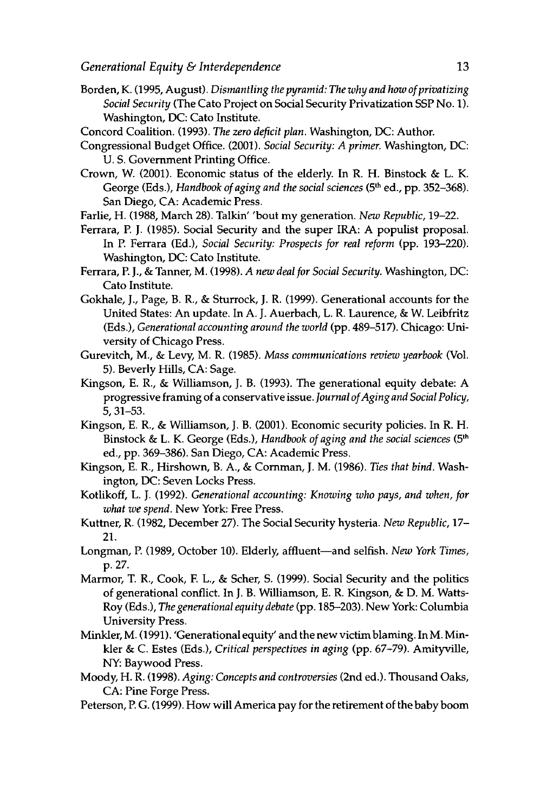- Borden, K. (1995, August). *Dismantling the pyramid: The why and how of privatizing Social Security* (The Cato Project on Social Security Privatization SSP No. 1). Washington, DC: Cato Institute.
- Concord Coalition. (1993). *The zero deficit plan.* Washington, DC: Author.
- Congressional Budget Office. (2001). *Social Security: A primer.* Washington, DC: U. S. Government Printing Office.
- Crown, W. (2001). Economic status of the elderly. In R. H. Binstock & L. K. George (Eds.), *Handbook of aging and the social sciences* (5<sup>th</sup> ed., pp. 352–368). San Diego, CA: Academic Press.
- Farlie, H. (1988, March 28). Talkin' 'bout my generation. *New Republic,* 19-22.
- Ferrara, P. J. (1985). Social Security and the super IRA: A populist proposal. In P. Ferrara (Ed.), *Social Security: Prospects for real reform* (pp. 193-220). Washington, DC: Cato Institute.
- Ferrara, P. J., & Tanner, M. (1998). *A new deal for Social Security.* Washington, DC: Cato Institute.
- Gokhale, J., Page, B. R., & Sturrock, J. R. (1999). Generational accounts for the United States: An update. In A. J. Auerbach, L. R. Laurence, & W. Leibfritz (Eds.), *Generational accounting around the world* (pp. 489-517). Chicago: University of Chicago Press.
- Gurevitch, M., & Levy, M. R. (1985). *Mass communications review yearbook* (Vol. 5). Beverly Hills, CA: Sage.
- Kingson, E. R., & Williamson, **J.** B. (1993). The generational equity debate: A progressive framing of a conservative issue. *Journal of Aging and Social Policy,* 5, 31-53.
- Kingson, E. R., & Williamson, J. B. (2001). Economic security policies. In R. H. Binstock & L. K. George (Eds.), *Handbook of aging and the social sciences* (5 *t '* ed., pp. 369-386). San Diego, CA: Academic Press.
- Kingson, E. R., Hirshown, B. A., & Cornman, J. M. (1986). *Ties that bind.* Washington, DC: Seven Locks Press.
- Kotlikoff, L. **J.** (1992). *Generational accounting: Knowing who pays, and when, for what we spend.* New York: Free Press.
- Kuttner, R. (1982, December 27). The Social Security hysteria. *New Republic,* 17- 21.
- Longman, P. (1989, October 10). Elderly, affluent-and selfish. *New York Times,* p. 27.
- Marmor, T. R., Cook, E L., & Scher, **S.** (1999). Social Security and the politics of generational conflict. In J. B. Williamson, E. R. Kingson, & D. M. Watts-Roy (Eds.), *The generational equity debate* (pp. 185-203). New York: Columbia University Press.
- MinkIer, M. (1991). 'Generational equity' and the new victim blaming. In M. Minkler & C. Estes (Eds.), *Critical perspectives in aging* (pp. 67-79). Amityville, NY: Baywood Press.
- Moody, H. R. (1998). *Aging: Concepts and controversies* (2nd ed.). Thousand Oaks, CA: Pine Forge Press.
- Peterson, P. G. (1999). How will America pay for the retirement of the baby boom